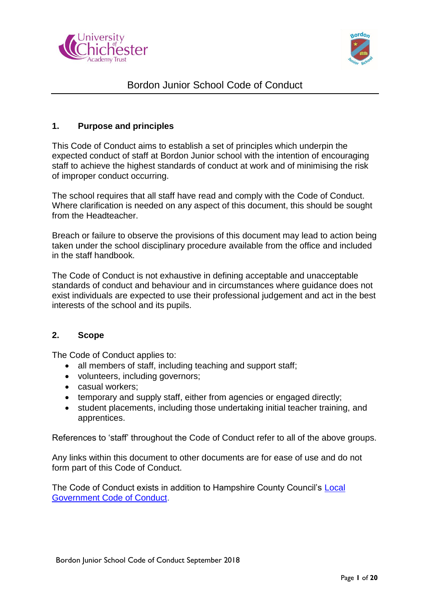



# Bordon Junior School Code of Conduct

# **1. Purpose and principles**

This Code of Conduct aims to establish a set of principles which underpin the expected conduct of staff at Bordon Junior school with the intention of encouraging staff to achieve the highest standards of conduct at work and of minimising the risk of improper conduct occurring.

The school requires that all staff have read and comply with the Code of Conduct. Where clarification is needed on any aspect of this document, this should be sought from the Headteacher.

Breach or failure to observe the provisions of this document may lead to action being taken under the school disciplinary procedure available from the office and included in the staff handbook.

The Code of Conduct is not exhaustive in defining acceptable and unacceptable standards of conduct and behaviour and in circumstances where guidance does not exist individuals are expected to use their professional judgement and act in the best interests of the school and its pupils.

# **2. Scope**

The Code of Conduct applies to:

- all members of staff, including teaching and support staff;
- volunteers, including governors;
- casual workers:
- temporary and supply staff, either from agencies or engaged directly;
- student placements, including those undertaking initial teacher training, and apprentices.

References to 'staff' throughout the Code of Conduct refer to all of the above groups.

Any links within this document to other documents are for ease of use and do not form part of this Code of Conduct.

The Code of Conduct exists in addition to Hampshire County Council's [Local](http://intranet.hants.gov.uk/hr-home/hr/hr-terms/lg-codeofconduct.htm)  [Government Code of Conduct.](http://intranet.hants.gov.uk/hr-home/hr/hr-terms/lg-codeofconduct.htm)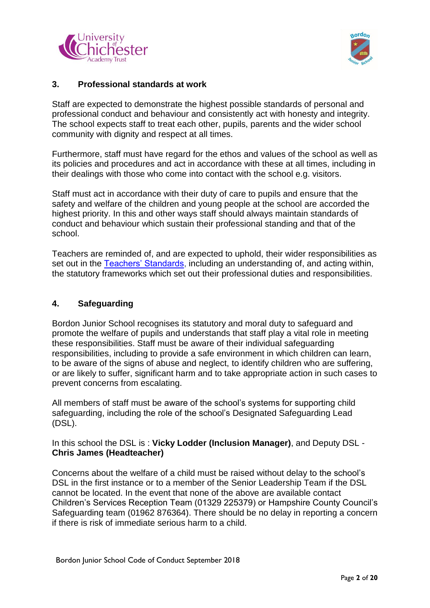



# **3. Professional standards at work**

Staff are expected to demonstrate the highest possible standards of personal and professional conduct and behaviour and consistently act with honesty and integrity. The school expects staff to treat each other, pupils, parents and the wider school community with dignity and respect at all times.

Furthermore, staff must have regard for the ethos and values of the school as well as its policies and procedures and act in accordance with these at all times, including in their dealings with those who come into contact with the school e.g. visitors.

Staff must act in accordance with their duty of care to pupils and ensure that the safety and welfare of the children and young people at the school are accorded the highest priority. In this and other ways staff should always maintain standards of conduct and behaviour which sustain their professional standing and that of the school.

Teachers are reminded of, and are expected to uphold, their wider responsibilities as set out in the [Teachers' Standards,](https://www.gov.uk/government/uploads/system/uploads/attachment_data/file/301107/Teachers__Standards.pdf) including an understanding of, and acting within, the statutory frameworks which set out their professional duties and responsibilities.

# **4. Safeguarding**

Bordon Junior School recognises its statutory and moral duty to safeguard and promote the welfare of pupils and understands that staff play a vital role in meeting these responsibilities. Staff must be aware of their individual safeguarding responsibilities, including to provide a safe environment in which children can learn, to be aware of the signs of abuse and neglect, to identify children who are suffering, or are likely to suffer, significant harm and to take appropriate action in such cases to prevent concerns from escalating.

All members of staff must be aware of the school's systems for supporting child safeguarding, including the role of the school's Designated Safeguarding Lead (DSL).

In this school the DSL is : **Vicky Lodder (Inclusion Manager)**, and Deputy DSL - **Chris James (Headteacher)**

Concerns about the welfare of a child must be raised without delay to the school's DSL in the first instance or to a member of the Senior Leadership Team if the DSL cannot be located. In the event that none of the above are available contact Children's Services Reception Team (01329 225379) or Hampshire County Council's Safeguarding team (01962 876364). There should be no delay in reporting a concern if there is risk of immediate serious harm to a child.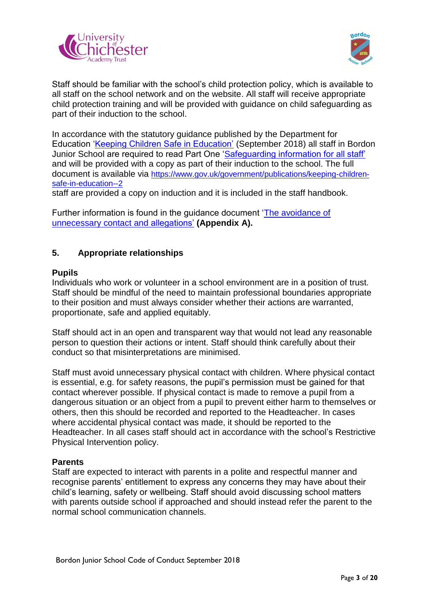



Staff should be familiar with the school's child protection policy, which is available to all staff on the school network and on the website. All staff will receive appropriate child protection training and will be provided with guidance on child safeguarding as part of their induction to the school.

In accordance with the statutory guidance published by the Department for Education ['Keeping Children Safe in Education'](https://www.gov.uk/government/uploads/system/uploads/attachment_data/file/300309/KCSIE_gdnce_FINAL.pdf) (September 2018) all staff in Bordon Junior School are required to read Part One ['Safeguarding information for all staff'](https://www.gov.uk/government/uploads/system/uploads/attachment_data/file/300319/KCSIE_FINAL_8PG.pdf) and will be provided with a copy as part of their induction to the school. The full document is available via [https://www.gov.uk/government/publications/keeping-children](https://www.gov.uk/government/publications/keeping-children-safe-in-education--2)[safe-in-education--2](https://www.gov.uk/government/publications/keeping-children-safe-in-education--2)

staff are provided a copy on induction and it is included in the staff handbook.

Further information is found in the guidance document ['The avoidance of](http://www3.hants.gov.uk/avoidance_of_unnecessary_contact_and_allegations.doc)  unnecessary [contact and allegations'](http://www3.hants.gov.uk/avoidance_of_unnecessary_contact_and_allegations.doc) **(Appendix A).**

# **5. Appropriate relationships**

#### **Pupils**

Individuals who work or volunteer in a school environment are in a position of trust. Staff should be mindful of the need to maintain professional boundaries appropriate to their position and must always consider whether their actions are warranted, proportionate, safe and applied equitably.

Staff should act in an open and transparent way that would not lead any reasonable person to question their actions or intent. Staff should think carefully about their conduct so that misinterpretations are minimised.

Staff must avoid unnecessary physical contact with children. Where physical contact is essential, e.g. for safety reasons, the pupil's permission must be gained for that contact wherever possible. If physical contact is made to remove a pupil from a dangerous situation or an object from a pupil to prevent either harm to themselves or others, then this should be recorded and reported to the Headteacher. In cases where accidental physical contact was made, it should be reported to the Headteacher. In all cases staff should act in accordance with the school's Restrictive Physical Intervention policy.

#### **Parents**

Staff are expected to interact with parents in a polite and respectful manner and recognise parents' entitlement to express any concerns they may have about their child's learning, safety or wellbeing. Staff should avoid discussing school matters with parents outside school if approached and should instead refer the parent to the normal school communication channels.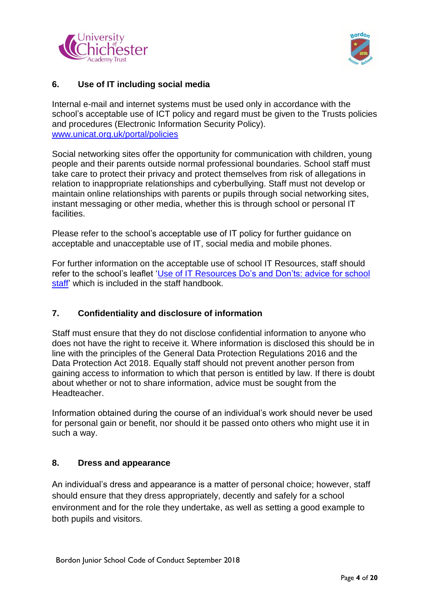



# **6. Use of IT including social media**

Internal e-mail and internet systems must be used only in accordance with the school's acceptable use of ICT policy and regard must be given to the Trusts policies and procedures (Electronic Information Security Policy). [www.unicat.org.uk/portal/policies](http://www.unicat.org.uk/portal/policies)

Social networking sites offer the opportunity for communication with children, young people and their parents outside normal professional boundaries. School staff must take care to protect their privacy and protect themselves from risk of allegations in relation to inappropriate relationships and cyberbullying. Staff must not develop or maintain online relationships with parents or pupils through social networking sites, instant messaging or other media, whether this is through school or personal IT facilities.

Please refer to the school's acceptable use of IT policy for further guidance on acceptable and unacceptable use of IT, social media and mobile phones.

For further information on the acceptable use of school IT Resources, staff should refer to the school's leaflet ['Use of IT Resources Do's and Don'ts: advice for school](http://www3.hants.gov.uk/dos-and-donts-advice-for-staff-ict-resources.doc)  [staff'](http://www3.hants.gov.uk/dos-and-donts-advice-for-staff-ict-resources.doc) which is included in the staff handbook.

# **7. Confidentiality and disclosure of information**

Staff must ensure that they do not disclose confidential information to anyone who does not have the right to receive it. Where information is disclosed this should be in line with the principles of the General Data Protection Regulations 2016 and the Data Protection Act 2018. Equally staff should not prevent another person from gaining access to information to which that person is entitled by law. If there is doubt about whether or not to share information, advice must be sought from the Headteacher.

Information obtained during the course of an individual's work should never be used for personal gain or benefit, nor should it be passed onto others who might use it in such a way.

# **8. Dress and appearance**

An individual's dress and appearance is a matter of personal choice; however, staff should ensure that they dress appropriately, decently and safely for a school environment and for the role they undertake, as well as setting a good example to both pupils and visitors.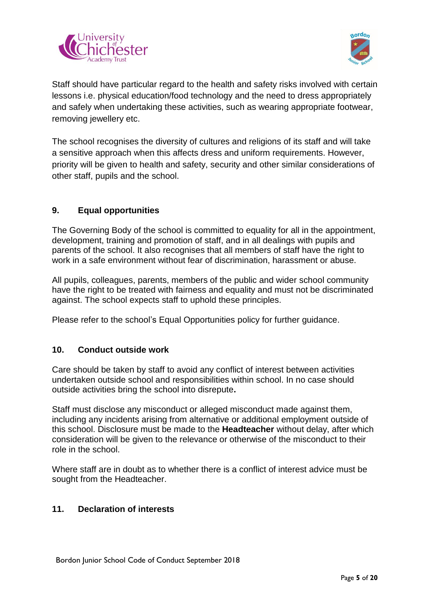



Staff should have particular regard to the health and safety risks involved with certain lessons i.e. physical education/food technology and the need to dress appropriately and safely when undertaking these activities, such as wearing appropriate footwear, removing jewellery etc.

The school recognises the diversity of cultures and religions of its staff and will take a sensitive approach when this affects dress and uniform requirements. However, priority will be given to health and safety, security and other similar considerations of other staff, pupils and the school.

# **9. Equal opportunities**

The Governing Body of the school is committed to equality for all in the appointment, development, training and promotion of staff, and in all dealings with pupils and parents of the school. It also recognises that all members of staff have the right to work in a safe environment without fear of discrimination, harassment or abuse.

All pupils, colleagues, parents, members of the public and wider school community have the right to be treated with fairness and equality and must not be discriminated against. The school expects staff to uphold these principles.

Please refer to the school's Equal Opportunities policy for further guidance.

# **10. Conduct outside work**

Care should be taken by staff to avoid any conflict of interest between activities undertaken outside school and responsibilities within school. In no case should outside activities bring the school into disrepute**.**

Staff must disclose any misconduct or alleged misconduct made against them, including any incidents arising from alternative or additional employment outside of this school. Disclosure must be made to the **Headteacher** without delay, after which consideration will be given to the relevance or otherwise of the misconduct to their role in the school.

Where staff are in doubt as to whether there is a conflict of interest advice must be sought from the Headteacher.

#### **11. Declaration of interests**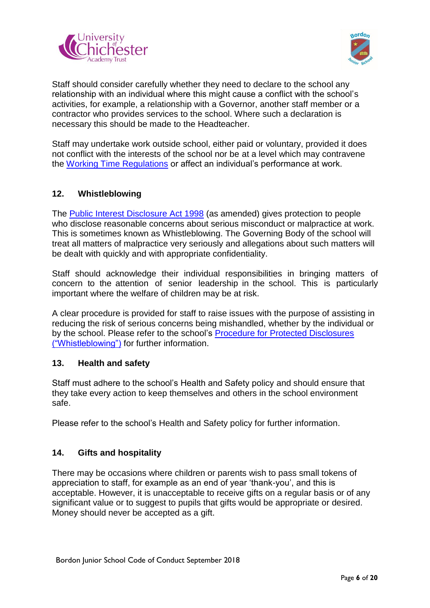



Staff should consider carefully whether they need to declare to the school any relationship with an individual where this might cause a conflict with the school's activities, for example, a relationship with a Governor, another staff member or a contractor who provides services to the school. Where such a declaration is necessary this should be made to the Headteacher.

Staff may undertake work outside school, either paid or voluntary, provided it does not conflict with the interests of the school nor be at a level which may contravene the [Working Time Regulations](http://www.legislation.gov.uk/uksi/1998/1833/made/data.pdf) or affect an individual's performance at work.

# **12. Whistleblowing**

The [Public Interest Disclosure Act 1998](http://www.legislation.gov.uk/ukpga/1998/23/contents) (as amended) gives protection to people who disclose reasonable concerns about serious misconduct or malpractice at work. This is sometimes known as Whistleblowing. The Governing Body of the school will treat all matters of malpractice very seriously and allegations about such matters will be dealt with quickly and with appropriate confidentiality.

Staff should acknowledge their individual responsibilities in bringing matters of concern to the attention of senior leadership in the school. This is particularly important where the welfare of children may be at risk.

A clear procedure is provided for staff to raise issues with the purpose of assisting in reducing the risk of serious concerns being mishandled, whether by the individual or by the school. Please refer to the school's [Procedure for Protected Disclosures](http://www3.hants.gov.uk/eps-protected-disclosures.doc)  [\("Whistleblowing"\)](http://www3.hants.gov.uk/eps-protected-disclosures.doc) for further information.

# **13. Health and safety**

Staff must adhere to the school's Health and Safety policy and should ensure that they take every action to keep themselves and others in the school environment safe.

Please refer to the school's Health and Safety policy for further information.

# **14. Gifts and hospitality**

There may be occasions where children or parents wish to pass small tokens of appreciation to staff, for example as an end of year 'thank-you', and this is acceptable. However, it is unacceptable to receive gifts on a regular basis or of any significant value or to suggest to pupils that gifts would be appropriate or desired. Money should never be accepted as a gift.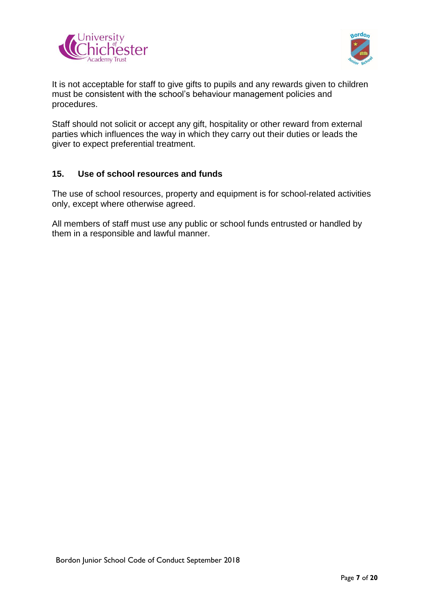



It is not acceptable for staff to give gifts to pupils and any rewards given to children must be consistent with the school's behaviour management policies and procedures.

Staff should not solicit or accept any gift, hospitality or other reward from external parties which influences the way in which they carry out their duties or leads the giver to expect preferential treatment.

# **15. Use of school resources and funds**

The use of school resources, property and equipment is for school-related activities only, except where otherwise agreed.

All members of staff must use any public or school funds entrusted or handled by them in a responsible and lawful manner.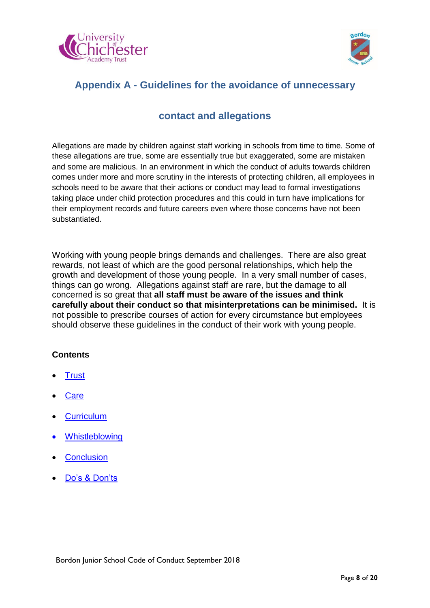



# **Appendix A - Guidelines for the avoidance of unnecessary**

# **contact and allegations**

Allegations are made by children against staff working in schools from time to time. Some of these allegations are true, some are essentially true but exaggerated, some are mistaken and some are malicious. In an environment in which the conduct of adults towards children comes under more and more scrutiny in the interests of protecting children, all employees in schools need to be aware that their actions or conduct may lead to formal investigations taking place under child protection procedures and this could in turn have implications for their employment records and future careers even where those concerns have not been substantiated.

Working with young people brings demands and challenges. There are also great rewards, not least of which are the good personal relationships, which help the growth and development of those young people. In a very small number of cases, things can go wrong. Allegations against staff are rare, but the damage to all concerned is so great that **all staff must be aware of the issues and think carefully about their conduct so that misinterpretations can be minimised.** It is not possible to prescribe courses of action for every circumstance but employees should observe these guidelines in the conduct of their work with young people.

# **Contents**

- **[Trust](#page-8-0)**
- [Care](#page-10-0)
- **[Curriculum](#page-12-0)**
- **[Whistleblowing](#page-13-0)**
- **[Conclusion](#page-14-0)**
- [Do's & Don'ts](#page-16-0)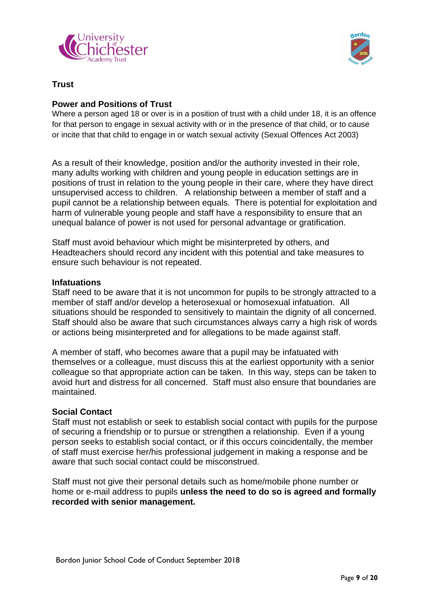



#### <span id="page-8-0"></span>**Trust**

# **Power and Positions of Trust**

Where a person aged 18 or over is in a position of trust with a child under 18, it is an offence for that person to engage in sexual activity with or in the presence of that child, or to cause or incite that that child to engage in or watch sexual activity (Sexual Offences Act 2003)

As a result of their knowledge, position and/or the authority invested in their role, many adults working with children and young people in education settings are in positions of trust in relation to the young people in their care, where they have direct unsupervised access to children. A relationship between a member of staff and a pupil cannot be a relationship between equals. There is potential for exploitation and harm of vulnerable young people and staff have a responsibility to ensure that an unequal balance of power is not used for personal advantage or gratification.

Staff must avoid behaviour which might be misinterpreted by others, and Headteachers should record any incident with this potential and take measures to ensure such behaviour is not repeated.

#### **Infatuations**

Staff need to be aware that it is not uncommon for pupils to be strongly attracted to a member of staff and/or develop a heterosexual or homosexual infatuation. All situations should be responded to sensitively to maintain the dignity of all concerned. Staff should also be aware that such circumstances always carry a high risk of words or actions being misinterpreted and for allegations to be made against staff.

A member of staff, who becomes aware that a pupil may be infatuated with themselves or a colleague, must discuss this at the earliest opportunity with a senior colleague so that appropriate action can be taken. In this way, steps can be taken to avoid hurt and distress for all concerned. Staff must also ensure that boundaries are maintained.

#### **Social Contact**

Staff must not establish or seek to establish social contact with pupils for the purpose of securing a friendship or to pursue or strengthen a relationship. Even if a young person seeks to establish social contact, or if this occurs coincidentally, the member of staff must exercise her/his professional judgement in making a response and be aware that such social contact could be misconstrued.

Staff must not give their personal details such as home/mobile phone number or home or e-mail address to pupils **unless the need to do so is agreed and formally recorded with senior management.**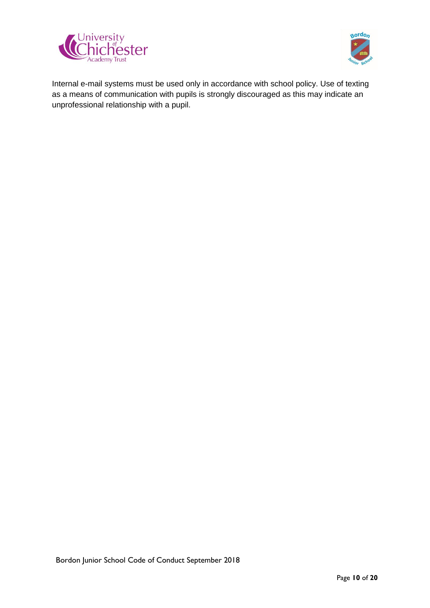



Internal e-mail systems must be used only in accordance with school policy. Use of texting as a means of communication with pupils is strongly discouraged as this may indicate an unprofessional relationship with a pupil.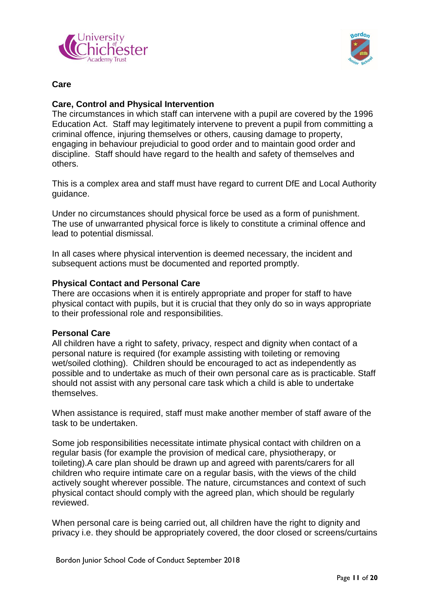



#### <span id="page-10-0"></span>**Care**

#### **Care, Control and Physical Intervention**

The circumstances in which staff can intervene with a pupil are covered by the 1996 Education Act. Staff may legitimately intervene to prevent a pupil from committing a criminal offence, injuring themselves or others, causing damage to property, engaging in behaviour prejudicial to good order and to maintain good order and discipline. Staff should have regard to the health and safety of themselves and others.

This is a complex area and staff must have regard to current DfE and Local Authority guidance.

Under no circumstances should physical force be used as a form of punishment. The use of unwarranted physical force is likely to constitute a criminal offence and lead to potential dismissal.

In all cases where physical intervention is deemed necessary, the incident and subsequent actions must be documented and reported promptly.

#### **Physical Contact and Personal Care**

There are occasions when it is entirely appropriate and proper for staff to have physical contact with pupils, but it is crucial that they only do so in ways appropriate to their professional role and responsibilities.

#### **Personal Care**

All children have a right to safety, privacy, respect and dignity when contact of a personal nature is required (for example assisting with toileting or removing wet/soiled clothing). Children should be encouraged to act as independently as possible and to undertake as much of their own personal care as is practicable. Staff should not assist with any personal care task which a child is able to undertake themselves.

When assistance is required, staff must make another member of staff aware of the task to be undertaken.

Some job responsibilities necessitate intimate physical contact with children on a regular basis (for example the provision of medical care, physiotherapy, or toileting).A care plan should be drawn up and agreed with parents/carers for all children who require intimate care on a regular basis, with the views of the child actively sought wherever possible. The nature, circumstances and context of such physical contact should comply with the agreed plan, which should be regularly reviewed.

When personal care is being carried out, all children have the right to dignity and privacy i.e. they should be appropriately covered, the door closed or screens/curtains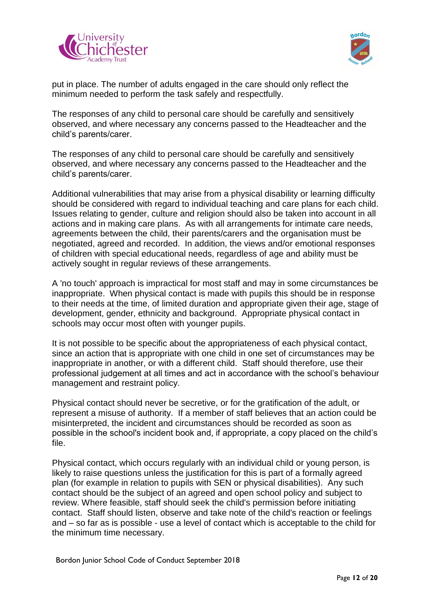



put in place. The number of adults engaged in the care should only reflect the minimum needed to perform the task safely and respectfully.

The responses of any child to personal care should be carefully and sensitively observed, and where necessary any concerns passed to the Headteacher and the child's parents/carer.

The responses of any child to personal care should be carefully and sensitively observed, and where necessary any concerns passed to the Headteacher and the child's parents/carer.

Additional vulnerabilities that may arise from a physical disability or learning difficulty should be considered with regard to individual teaching and care plans for each child. Issues relating to gender, culture and religion should also be taken into account in all actions and in making care plans. As with all arrangements for intimate care needs, agreements between the child, their parents/carers and the organisation must be negotiated, agreed and recorded. In addition, the views and/or emotional responses of children with special educational needs, regardless of age and ability must be actively sought in regular reviews of these arrangements.

A 'no touch' approach is impractical for most staff and may in some circumstances be inappropriate. When physical contact is made with pupils this should be in response to their needs at the time, of limited duration and appropriate given their age, stage of development, gender, ethnicity and background. Appropriate physical contact in schools may occur most often with younger pupils.

It is not possible to be specific about the appropriateness of each physical contact, since an action that is appropriate with one child in one set of circumstances may be inappropriate in another, or with a different child. Staff should therefore, use their professional judgement at all times and act in accordance with the school's behaviour management and restraint policy.

Physical contact should never be secretive, or for the gratification of the adult, or represent a misuse of authority. If a member of staff believes that an action could be misinterpreted, the incident and circumstances should be recorded as soon as possible in the school's incident book and, if appropriate, a copy placed on the child's file.

Physical contact, which occurs regularly with an individual child or young person, is likely to raise questions unless the justification for this is part of a formally agreed plan (for example in relation to pupils with SEN or physical disabilities). Any such contact should be the subject of an agreed and open school policy and subject to review. Where feasible, staff should seek the child's permission before initiating contact. Staff should listen, observe and take note of the child's reaction or feelings and – so far as is possible - use a level of contact which is acceptable to the child for the minimum time necessary.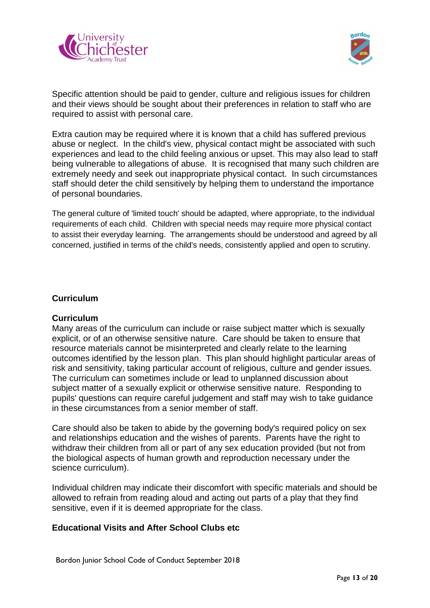



Specific attention should be paid to gender, culture and religious issues for children and their views should be sought about their preferences in relation to staff who are required to assist with personal care.

Extra caution may be required where it is known that a child has suffered previous abuse or neglect. In the child's view, physical contact might be associated with such experiences and lead to the child feeling anxious or upset. This may also lead to staff being vulnerable to allegations of abuse. It is recognised that many such children are extremely needy and seek out inappropriate physical contact. In such circumstances staff should deter the child sensitively by helping them to understand the importance of personal boundaries.

The general culture of 'limited touch' should be adapted, where appropriate, to the individual requirements of each child. Children with special needs may require more physical contact to assist their everyday learning. The arrangements should be understood and agreed by all concerned, justified in terms of the child's needs, consistently applied and open to scrutiny.

#### <span id="page-12-0"></span>**Curriculum**

#### **Curriculum**

Many areas of the curriculum can include or raise subject matter which is sexually explicit, or of an otherwise sensitive nature. Care should be taken to ensure that resource materials cannot be misinterpreted and clearly relate to the learning outcomes identified by the lesson plan. This plan should highlight particular areas of risk and sensitivity, taking particular account of religious, culture and gender issues. The curriculum can sometimes include or lead to unplanned discussion about subject matter of a sexually explicit or otherwise sensitive nature. Responding to pupils' questions can require careful judgement and staff may wish to take guidance in these circumstances from a senior member of staff.

Care should also be taken to abide by the governing body's required policy on sex and relationships education and the wishes of parents. Parents have the right to withdraw their children from all or part of any sex education provided (but not from the biological aspects of human growth and reproduction necessary under the science curriculum).

Individual children may indicate their discomfort with specific materials and should be allowed to refrain from reading aloud and acting out parts of a play that they find sensitive, even if it is deemed appropriate for the class.

#### **Educational Visits and After School Clubs etc**

Bordon Junior School Code of Conduct September 2018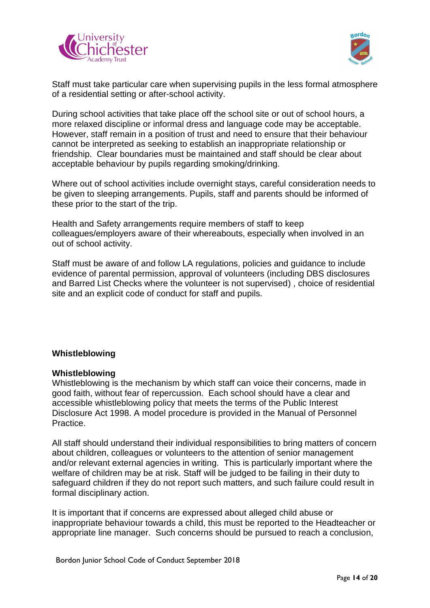



Staff must take particular care when supervising pupils in the less formal atmosphere of a residential setting or after-school activity.

During school activities that take place off the school site or out of school hours, a more relaxed discipline or informal dress and language code may be acceptable. However, staff remain in a position of trust and need to ensure that their behaviour cannot be interpreted as seeking to establish an inappropriate relationship or friendship. Clear boundaries must be maintained and staff should be clear about acceptable behaviour by pupils regarding smoking/drinking.

Where out of school activities include overnight stays, careful consideration needs to be given to sleeping arrangements. Pupils, staff and parents should be informed of these prior to the start of the trip.

Health and Safety arrangements require members of staff to keep colleagues/employers aware of their whereabouts, especially when involved in an out of school activity.

Staff must be aware of and follow LA regulations, policies and guidance to include evidence of parental permission, approval of volunteers (including DBS disclosures and Barred List Checks where the volunteer is not supervised) , choice of residential site and an explicit code of conduct for staff and pupils.

#### <span id="page-13-0"></span>**Whistleblowing**

#### **Whistleblowing**

Whistleblowing is the mechanism by which staff can voice their concerns, made in good faith, without fear of repercussion. Each school should have a clear and accessible whistleblowing policy that meets the terms of the Public Interest Disclosure Act 1998. A model procedure is provided in the Manual of Personnel Practice.

All staff should understand their individual responsibilities to bring matters of concern about children, colleagues or volunteers to the attention of senior management and/or relevant external agencies in writing. This is particularly important where the welfare of children may be at risk. Staff will be judged to be failing in their duty to safeguard children if they do not report such matters, and such failure could result in formal disciplinary action.

It is important that if concerns are expressed about alleged child abuse or inappropriate behaviour towards a child, this must be reported to the Headteacher or appropriate line manager. Such concerns should be pursued to reach a conclusion,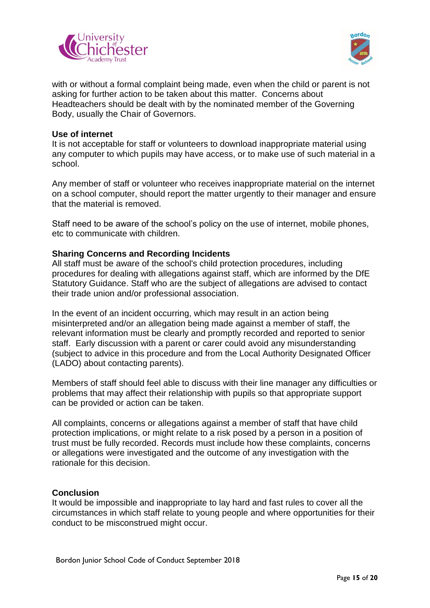



with or without a formal complaint being made, even when the child or parent is not asking for further action to be taken about this matter. Concerns about Headteachers should be dealt with by the nominated member of the Governing Body, usually the Chair of Governors.

#### **Use of internet**

It is not acceptable for staff or volunteers to download inappropriate material using any computer to which pupils may have access, or to make use of such material in a school.

Any member of staff or volunteer who receives inappropriate material on the internet on a school computer, should report the matter urgently to their manager and ensure that the material is removed.

Staff need to be aware of the school's policy on the use of internet, mobile phones, etc to communicate with children.

#### **Sharing Concerns and Recording Incidents**

All staff must be aware of the school's child protection procedures, including procedures for dealing with allegations against staff, which are informed by the DfE Statutory Guidance. Staff who are the subject of allegations are advised to contact their trade union and/or professional association.

In the event of an incident occurring, which may result in an action being misinterpreted and/or an allegation being made against a member of staff, the relevant information must be clearly and promptly recorded and reported to senior staff. Early discussion with a parent or carer could avoid any misunderstanding (subject to advice in this procedure and from the Local Authority Designated Officer (LADO) about contacting parents).

Members of staff should feel able to discuss with their line manager any difficulties or problems that may affect their relationship with pupils so that appropriate support can be provided or action can be taken.

All complaints, concerns or allegations against a member of staff that have child protection implications, or might relate to a risk posed by a person in a position of trust must be fully recorded. Records must include how these complaints, concerns or allegations were investigated and the outcome of any investigation with the rationale for this decision.

#### <span id="page-14-0"></span>**Conclusion**

It would be impossible and inappropriate to lay hard and fast rules to cover all the circumstances in which staff relate to young people and where opportunities for their conduct to be misconstrued might occur.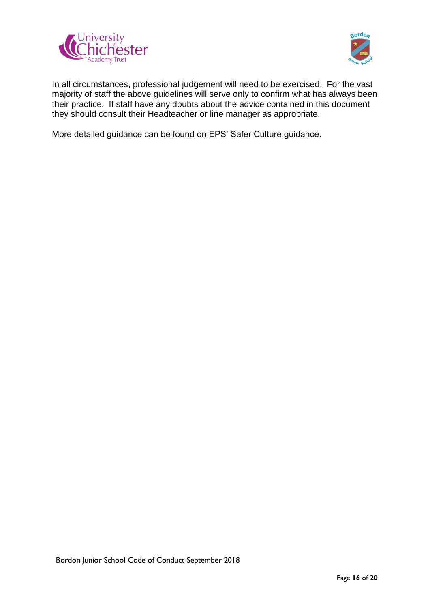



In all circumstances, professional judgement will need to be exercised. For the vast majority of staff the above guidelines will serve only to confirm what has always been their practice. If staff have any doubts about the advice contained in this document they should consult their Headteacher or line manager as appropriate.

More detailed guidance can be found on EPS' Safer Culture guidance.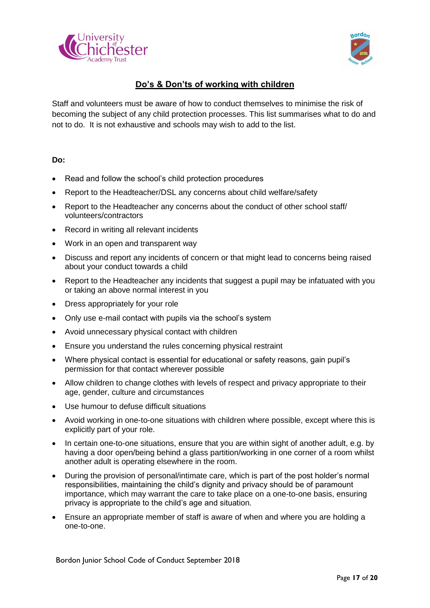



# **Do's & Don'ts of working with children**

<span id="page-16-0"></span>Staff and volunteers must be aware of how to conduct themselves to minimise the risk of becoming the subject of any child protection processes. This list summarises what to do and not to do. It is not exhaustive and schools may wish to add to the list.

#### **Do:**

- Read and follow the school's child protection procedures
- Report to the Headteacher/DSL any concerns about child welfare/safety
- Report to the Headteacher any concerns about the conduct of other school staff/ volunteers/contractors
- Record in writing all relevant incidents
- Work in an open and transparent way
- Discuss and report any incidents of concern or that might lead to concerns being raised about your conduct towards a child
- Report to the Headteacher any incidents that suggest a pupil may be infatuated with you or taking an above normal interest in you
- Dress appropriately for your role
- Only use e-mail contact with pupils via the school's system
- Avoid unnecessary physical contact with children
- Ensure you understand the rules concerning physical restraint
- Where physical contact is essential for educational or safety reasons, gain pupil's permission for that contact wherever possible
- Allow children to change clothes with levels of respect and privacy appropriate to their age, gender, culture and circumstances
- Use humour to defuse difficult situations
- Avoid working in one-to-one situations with children where possible, except where this is explicitly part of your role.
- In certain one-to-one situations, ensure that you are within sight of another adult, e.g. by having a door open/being behind a glass partition/working in one corner of a room whilst another adult is operating elsewhere in the room.
- During the provision of personal/intimate care, which is part of the post holder's normal responsibilities, maintaining the child's dignity and privacy should be of paramount importance, which may warrant the care to take place on a one-to-one basis, ensuring privacy is appropriate to the child's age and situation.
- Ensure an appropriate member of staff is aware of when and where you are holding a one-to-one.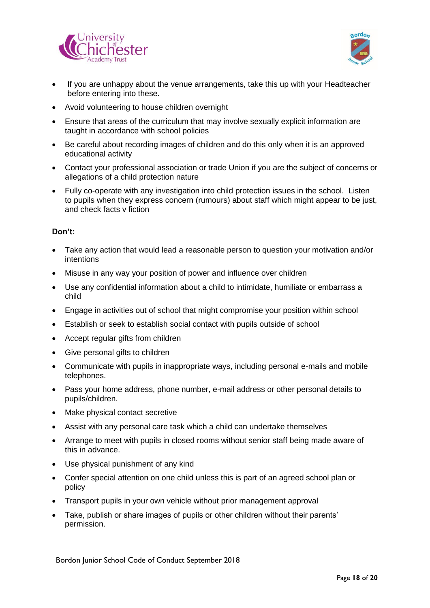



- If you are unhappy about the venue arrangements, take this up with your Headteacher before entering into these.
- Avoid volunteering to house children overnight
- Ensure that areas of the curriculum that may involve sexually explicit information are taught in accordance with school policies
- Be careful about recording images of children and do this only when it is an approved educational activity
- Contact your professional association or trade Union if you are the subject of concerns or allegations of a child protection nature
- Fully co-operate with any investigation into child protection issues in the school. Listen to pupils when they express concern (rumours) about staff which might appear to be just, and check facts v fiction

#### **Don't:**

- Take any action that would lead a reasonable person to question your motivation and/or intentions
- Misuse in any way your position of power and influence over children
- Use any confidential information about a child to intimidate, humiliate or embarrass a child
- Engage in activities out of school that might compromise your position within school
- Establish or seek to establish social contact with pupils outside of school
- Accept regular gifts from children
- Give personal gifts to children
- Communicate with pupils in inappropriate ways, including personal e-mails and mobile telephones.
- Pass your home address, phone number, e-mail address or other personal details to pupils/children.
- Make physical contact secretive
- Assist with any personal care task which a child can undertake themselves
- Arrange to meet with pupils in closed rooms without senior staff being made aware of this in advance.
- Use physical punishment of any kind
- Confer special attention on one child unless this is part of an agreed school plan or policy
- Transport pupils in your own vehicle without prior management approval
- Take, publish or share images of pupils or other children without their parents' permission.

Bordon Junior School Code of Conduct September 2018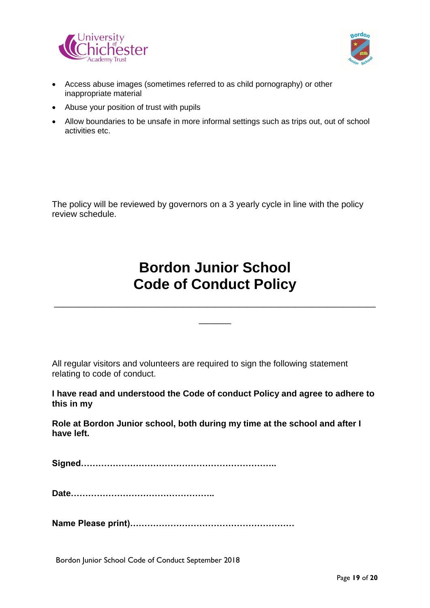



- Access abuse images (sometimes referred to as child pornography) or other inappropriate material
- Abuse your position of trust with pupils
- Allow boundaries to be unsafe in more informal settings such as trips out, out of school activities etc.

The policy will be reviewed by governors on a 3 yearly cycle in line with the policy review schedule.

# **Bordon Junior School Code of Conduct Policy**

**\_\_\_\_\_\_\_\_\_\_\_\_\_\_\_\_\_\_\_\_\_\_\_\_\_\_\_\_\_\_\_\_\_\_\_\_\_\_\_\_**

**\_\_\_\_**

All regular visitors and volunteers are required to sign the following statement relating to code of conduct.

**I have read and understood the Code of conduct Policy and agree to adhere to this in my** 

**Role at Bordon Junior school, both during my time at the school and after I have left.**

**Signed…………………………………………………………..**

**Date…………………………………………..**

**Name Please print)…………………………………………………**

Bordon Junior School Code of Conduct September 2018